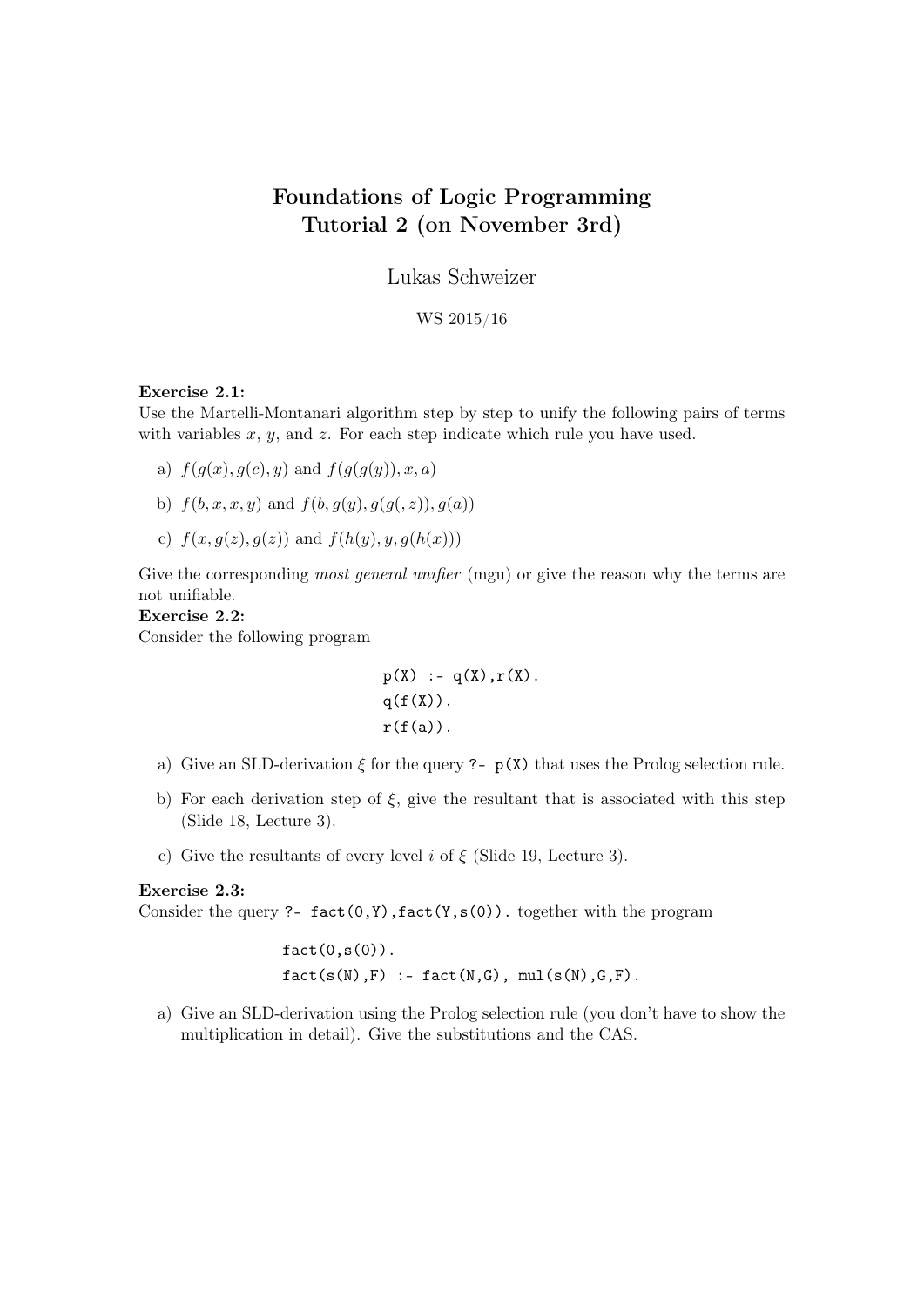# Foundations of Logic Programming Tutorial 2 (on November 3rd)

Lukas Schweizer

WS 2015/16

#### Exercise 2.1:

Use the Martelli-Montanari algorithm step by step to unify the following pairs of terms with variables  $x, y$ , and  $z$ . For each step indicate which rule you have used.

- a)  $f(g(x), g(c), y)$  and  $f(g(g(y)), x, a)$
- b)  $f(b, x, x, y)$  and  $f(b, q(y), q(q(z)), q(a))$
- c)  $f(x, g(z), g(z))$  and  $f(h(y), y, g(h(x)))$

Give the corresponding *most general unifier* (mgu) or give the reason why the terms are not unifiable.

### Exercise 2.2:

Consider the following program

```
p(X) := q(X), r(X).
q(f(X)).
r(f(a)).
```
- a) Give an SLD-derivation  $\xi$  for the query ?-  $p(X)$  that uses the Prolog selection rule.
- b) For each derivation step of  $\xi$ , give the resultant that is associated with this step (Slide 18, Lecture 3).
- c) Give the resultants of every level i of  $\xi$  (Slide 19, Lecture 3).

## Exercise 2.3:

Consider the query ?-  $fact(0, Y)$ ,  $fact(Y, s(0))$ . together with the program

 $fact(0,s(0))$ .  $fact(s(N), F)$  :-  $fact(N,G)$ ,  $mul(s(N), G, F)$ .

a) Give an SLD-derivation using the Prolog selection rule (you don't have to show the multiplication in detail). Give the substitutions and the CAS.